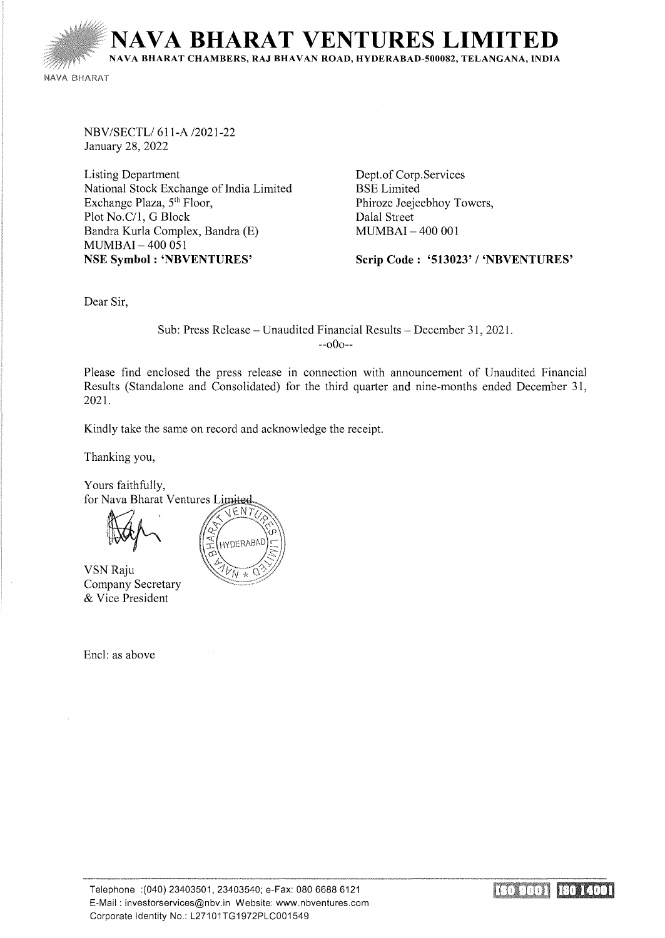**VA BHARAT VENTURES LIMI** 

NAVA BHARAT CHAMBERS, RAJ BHAVAN ROAD, HYDERABAD-500082, TELANGANA, INDIA

NAVA BHARAT

NBV/SECTL/611-A /2021-22 January 28, 2022

Listing Department National Stock Exchange of India Limited Exchange Plaza, 5<sup>th</sup> Floor, Plot No.C/1, G Block Bandra Kurla Complex, Bandra (E) MUMBAI- 400 051 NSE Symbol : 'NBVENTURES'

Dept.of Corp. Services BSE Limited Phiroze Jeejeebhoy Towers, Dalal Street MUMBAI - 400 001

Scrip Code : '513023' / 'NBVENTURES'

Dear Sir,

Sub: Press Release - Unaudited Financial Results - December 31, 2021.  $-000-$ 

Please find enclosed the press release in connection with announcement of Unaudited Financial Results (Standalone and Consolidated) for the third quarter and nine-months ended December 31, 2021.

Kindly take the same on record and acknowledge the receipt.

Thanking you,

Yours faithfully, for Nava Bharat Ventures Limited



**VSN Raju** Company Secretary & Vice President

Encl: as above



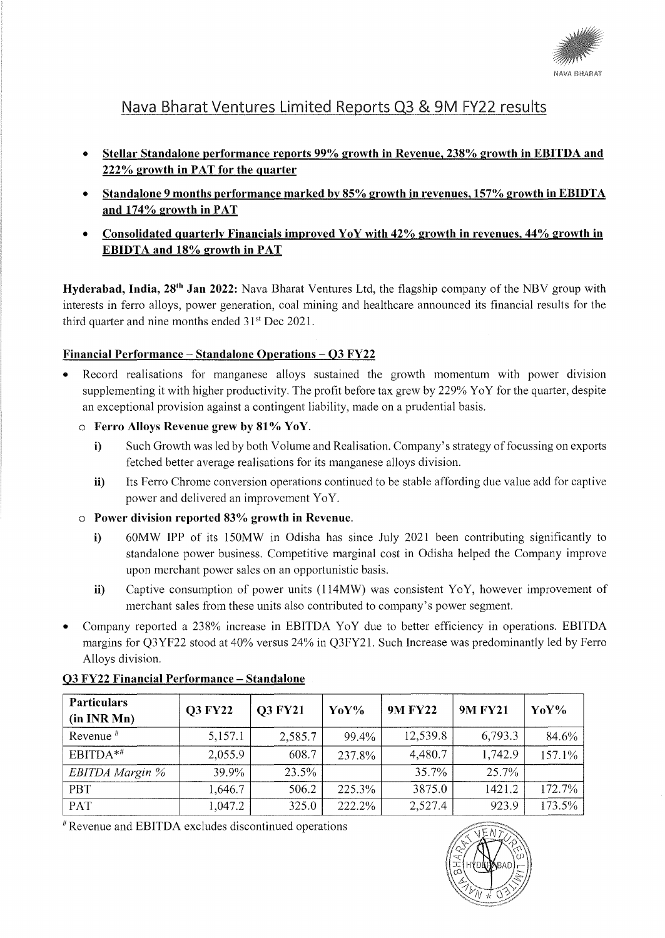

# Nava Bharat Ventures Limited Reports Q3 & 9M FY22 results

- **Stellar Standalone performance reports 99% growth in Revenue, 238% growth in EBITDA and 222% growth in PAT for the quarter**
- **Standalone 9 months performance marked by 85% growth in revenues, 157% growth in EBIDTA and 174% growth in PAT**
- **Consolidated quarterly Financials improved YoY with 42% growth in revenues, 44% growth in EBIDTA and 18% growth in PAT**

**Hyderabad, India, 28<sup>th</sup> Jan 2022:** Nava Bharat Ventures Ltd, the flagship company of the NBV group with interests in ferro alloys, power generation, coal mining and healthcare announced its financial results for the third quarter and nine months ended  $31<sup>st</sup>$  Dec 2021.

## **Financial Performance - Standalone Operations - 03 FY22**

- Record realisations for manganese alloys sustained the growth momentum with power division supplementing it with higher productivity. The profit before tax grew by 229% Yo Y for the quarter, despite an exceptional provision against a contingent liability, made on a prudential basis.
	- o **Ferro Alloys Revenue grew by 81% YoY.** 
		- **i)** Such Growth was led by both Volume and Realisation. Company's strategy of focussing on exports fetched better average realisations for its manganese alloys division.
		- **ii)** Its Ferro Chrome conversion operations continued to be stable affording due value add for captive power and delivered an improvement Yo Y.
	- o **Power division reported 83% growth in Revenue.** 
		- **i)** 60MW IPP of its 150MW in Odisha has since July 2021 been contributing significantly to standalone power business. Competitive marginal cost in Odisha helped the Company improve upon merchant power sales on an opportunistic basis.
		- **ii)** Captive consumption of power units (114MW) was consistent YoY, however improvement of merchant sales from these units also contributed to company's power segment.
- Company reported a 238% increase in EBITDA YoY due to better efficiency in operations. EBITDA margins for Q3YF22 stood at 40% versus 24% in Q3FY21. Such Increase was predominantly led by Ferro Alloys division.

| <b>Particulars</b><br>(in INR Mn) | <b>Q3 FY22</b> | <b>Q3 FY21</b> | YoY%   | <b>9M FY22</b> | <b>9M FY21</b> | $\mathbf{Yo}\mathbf{Y}\mathbf{O}'$ |
|-----------------------------------|----------------|----------------|--------|----------------|----------------|------------------------------------|
| Revenue $#$                       | 5,157.1        | 2,585.7        | 99.4%  | 12,539.8       | 6,793.3        | 84.6%                              |
| $EBITDA**$                        | 2,055.9        | 608.7          | 237.8% | 4,480.7        | 1,742.9        | 157.1%                             |
| EBITDA Margin %                   | 39.9%          | $23.5\%$       |        | 35.7%          | 25.7%          |                                    |
| <b>PBT</b>                        | 1,646.7        | 506.2          | 225.3% | 3875.0         | 1421.2         | 172.7%                             |
| PAT                               | 1,047.2        | 325.0          | 222.2% | 2,527.4        | 923.9          | 173.5%                             |

## **03 FY22 Financial Performance - Standalone**

11 Revenue and EBITDA excludes discontinued operations

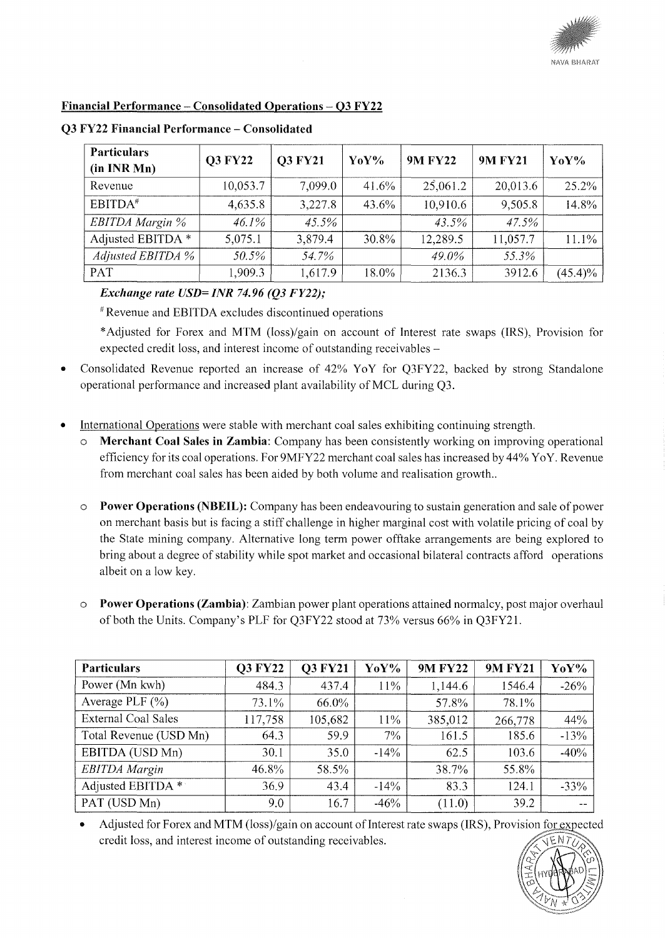

### Financial Performance - Consolidated Operations - 03 FY22

| <b>Particulars</b><br>(in INR Mn) | <b>Q3 FY22</b> | <b>Q3 FY21</b> | YoY%  | <b>9M FY22</b> | <b>9M FY21</b> | YoY%       |
|-----------------------------------|----------------|----------------|-------|----------------|----------------|------------|
| Revenue                           | 10,053.7       | 7,099.0        | 41.6% | 25,061.2       | 20,013.6       | 25.2%      |
| $EBITDA$ <sup>#</sup>             | 4,635.8        | 3,227.8        | 43.6% | 10,910.6       | 9,505.8        | 14.8%      |
| <b>EBITDA</b> Margin %            | 46.1%          | 45.5%          |       | 43.5%          | 47.5%          |            |
| Adjusted EBITDA *                 | 5,075.1        | 3,879.4        | 30.8% | 12,289.5       | 11,057.7       | $11.1\%$   |
| Adjusted EBITDA %                 | 50.5%          | 54.7%          |       | 49.0%          | 55.3%          |            |
| PAT                               | 1,909.3        | 1,617.9        | 18.0% | 2136.3         | 3912.6         | $(45.4)\%$ |

#### Q3 FY22 Financial Performance - Consolidated

## *Exchange rate USD= INR 74.96 (Q3 FY22);*

#Revenue and EBITDA excludes discontinued operations

\*Adjusted for Forex and MTM (loss)/gain on account of Interest rate swaps (IRS), Provision for expected credit loss, and interest income of outstanding receivables-

- Consolidated Revenue reported an increase of 42% Yo Y for Q3FY22, backed by strong Standalone operational performance and increased plant availability of MCL during O3.
- International Operations were stable with merchant coal sales exhibiting continuing strength.
	- **Merchant Coal Sales in Zambia:** Company has been consistently working on improving operational efficiency for its coal operations. For 9MFY22 merchant coal sales has increased by 44% Yo Y. Revenue from merchant coal sales has been aided by both volume and realisation growth ..
	- o Power Operations (NBEIL): Company has been endeavouring to sustain generation and sale of power on merchant basis but is facing a stiff challenge in higher marginal cost with volatile pricing of coal by the State mining company. Alternative long term power offtake arrangements are being explored to bring about a degree of stability while spot market and occasional bilateral contracts afford operations albeit on a low key.
	- o Power Operations (Zambia): Zambian power plant operations attained normalcy, post major overhaul of both the Units. Company's PLF for Q3FY22 stood at 73% versus 66% in Q3FY21.

| <b>Particulars</b>         | <b>Q3 FY22</b> | <b>Q3 FY21</b> | YoY%    | <b>9M FY22</b> | <b>9M FY21</b> | YoY%   |
|----------------------------|----------------|----------------|---------|----------------|----------------|--------|
| Power (Mn kwh)             | 484.3          | 437.4          | 11%     | 1,144.6        | 1546.4         | $-26%$ |
| Average PLF $(\% )$        | 73.1%          | 66.0%          |         | 57.8%          | 78.1%          |        |
| <b>External Coal Sales</b> | 117,758        | 105,682        | 11%     | 385,012        | 266,778        | 44%    |
| Total Revenue (USD Mn)     | 64.3           | 59.9           | 7%      | 161.5          | 185.6          | $-13%$ |
| EBITDA (USD Mn)            | 30.1           | 35.0           | $-14%$  | 62.5           | 103.6          | $-40%$ |
| <b>EBITDA</b> Margin       | $46.8\%$       | 58.5%          |         | 38.7%          | 55.8%          |        |
| Adjusted EBITDA *          | 36.9           | 43.4           | $-14\%$ | 83.3           | 124.1          | $-33%$ |
| PAT (USD Mn)               | 9.0            | 16.7           | $-46%$  | (11.0)         | 39.2           |        |

Adjusted for Forex and MTM (loss)/gain on account of Interest rate swaps (IRS), Provision for expected credit loss, and interest income of outstanding receivables.

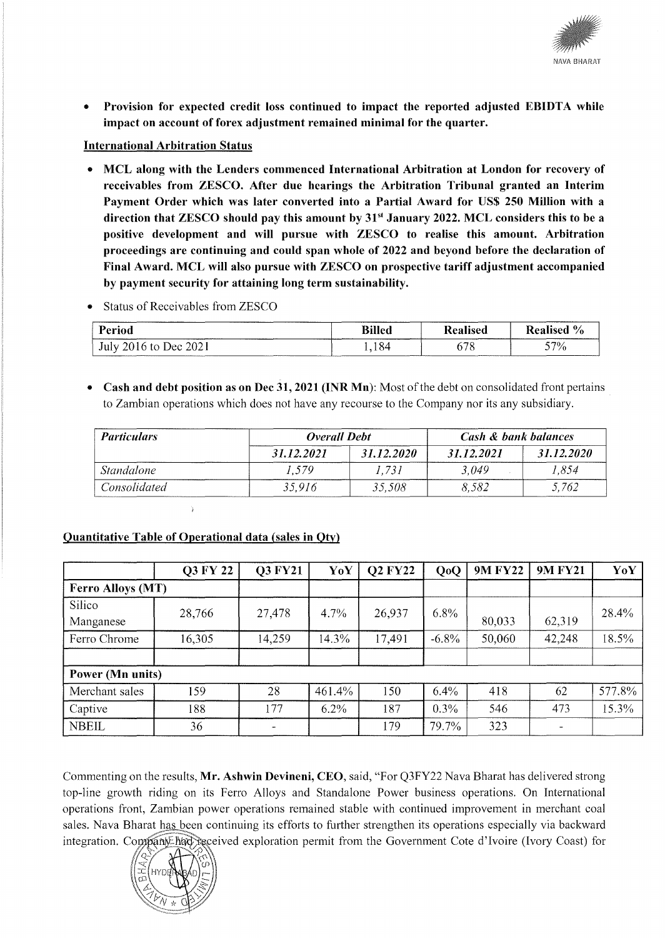

Provision for expected credit loss continued to impact the reported adjusted EBIDTA while impact on account of forex adjustment remained minimal for the quarter.

### International Arbitration Status

- MCL along with the Lenders commenced International Arbitration at London for recovery of receivables from ZESCO. After due hearings the Arbitration Tribunal granted an Interim Payment Order which was later converted into a Partial Award for US\$ 250 Million with a direction that ZESCO should pay this amount by  $31<sup>st</sup>$  January 2022. MCL considers this to be a positive development and will pursue with ZESCO to realise this amount. Arbitration proceedings are continuing and could span whole of 2022 and beyond before the declaration of Final Award. MCL will also pursue with ZESCO on prospective tariff adjustment accompanied by payment security for attaining long term sustainability.
- Status of Receivables from ZESCO

| Period                | <b>Billed</b> | <b>Realised</b> | Realised % |
|-----------------------|---------------|-----------------|------------|
| July 2016 to Dec 2021 | 1,184         | ுட<br>о.        | $-7\%$     |

**Cash and debt position as on Dec 31, 2021 (INR Mn):** Most of the debt on consolidated front pertains to Zambian operations which does not have any recourse to the Company nor its any subsidiary.

| <b>Particulars</b> | <b>Overall Debt</b> |            | <b>Cash &amp; bank balances</b> |            |  |
|--------------------|---------------------|------------|---------------------------------|------------|--|
|                    | 31.12.2021          | 31.12.2020 | 31.12.2021                      | 31.12.2020 |  |
| <i>Standalone</i>  | 1.579               | 1.731      | 3,049                           | 1.854      |  |
| Consolidated       | 35.916              | 35,508     | 8.582                           | 5.762      |  |

#### Quantitative Table of Operational data (sales in Qty)

þ

|                          | <b>Q3 FY 22</b> | <b>Q3 FY21</b> | YoY     | <b>Q2 FY22</b> | Q <sub>o</sub> Q | <b>9M FY22</b> | <b>9M FY21</b> | YoY    |
|--------------------------|-----------------|----------------|---------|----------------|------------------|----------------|----------------|--------|
| <b>Ferro Alloys (MT)</b> |                 |                |         |                |                  |                |                |        |
| Silico<br>Manganese      | 28,766          | 27,478         | $4.7\%$ | 26,937         | $6.8\%$          | 80,033         | 62,319         | 28.4%  |
| Ferro Chrome             | 16,305          | 14,259         | 14.3%   | 17,491         | $-6.8\%$         | 50,060         | 42,248         | 18.5%  |
|                          |                 |                |         |                |                  |                |                |        |
| Power (Mn units)         |                 |                |         |                |                  |                |                |        |
| Merchant sales           | 159             | 28             | 461.4%  | 150            | 6.4%             | 418            | 62             | 577.8% |
| Captive                  | 188             | 77             | $6.2\%$ | 187            | $0.3\%$          | 546            | 473            | 15.3%  |
| <b>NBEIL</b>             | 36              |                |         | 179            | 79.7%            | 323            |                |        |

Commenting on the results, Mr. Ashwin Devineni, CEO, said, "For Q3FY22 Nava Bharat has delivered strong top-line growth riding on its Ferro Alloys and Standalone Power business operations. On International operations front, Zambian power operations remained stable with continued improvement in merchant coal sales. Nava Bharat has been continuing its efforts to further strengthen its operations especially via backward integration. Company had received exploration permit from the Government Cote d'Ivoire (Ivory Coast) for